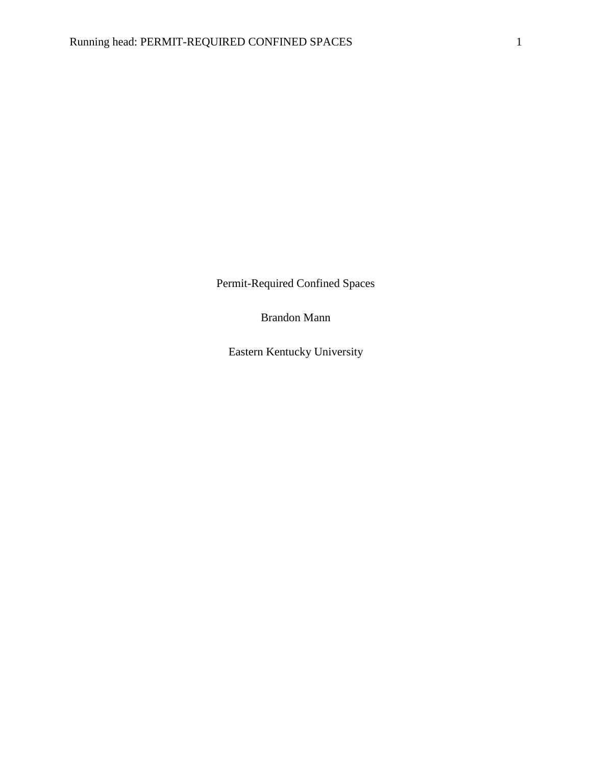Permit-Required Confined Spaces

Brandon Mann

Eastern Kentucky University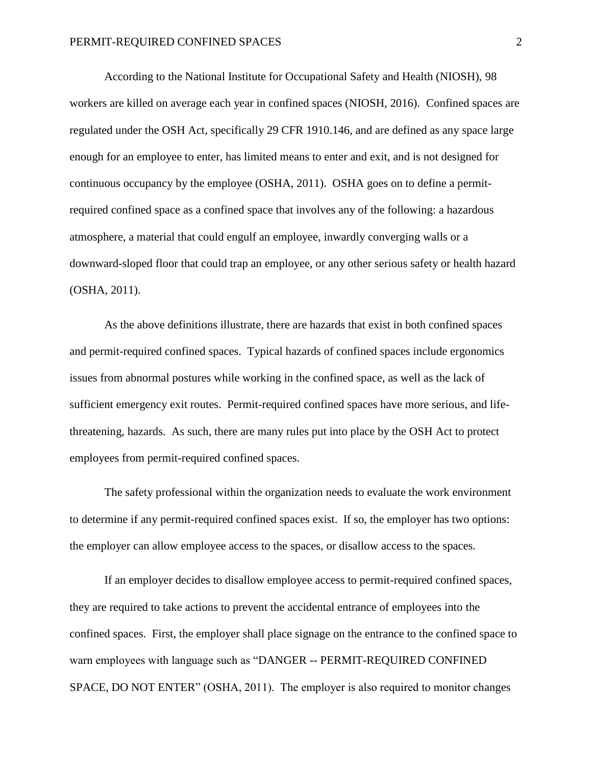According to the National Institute for Occupational Safety and Health (NIOSH), 98 workers are killed on average each year in confined spaces (NIOSH, 2016). Confined spaces are regulated under the OSH Act, specifically 29 CFR 1910.146, and are defined as any space large enough for an employee to enter, has limited means to enter and exit, and is not designed for continuous occupancy by the employee (OSHA, 2011). OSHA goes on to define a permitrequired confined space as a confined space that involves any of the following: a hazardous atmosphere, a material that could engulf an employee, inwardly converging walls or a downward-sloped floor that could trap an employee, or any other serious safety or health hazard (OSHA, 2011).

As the above definitions illustrate, there are hazards that exist in both confined spaces and permit-required confined spaces. Typical hazards of confined spaces include ergonomics issues from abnormal postures while working in the confined space, as well as the lack of sufficient emergency exit routes. Permit-required confined spaces have more serious, and lifethreatening, hazards. As such, there are many rules put into place by the OSH Act to protect employees from permit-required confined spaces.

The safety professional within the organization needs to evaluate the work environment to determine if any permit-required confined spaces exist. If so, the employer has two options: the employer can allow employee access to the spaces, or disallow access to the spaces.

If an employer decides to disallow employee access to permit-required confined spaces, they are required to take actions to prevent the accidental entrance of employees into the confined spaces. First, the employer shall place signage on the entrance to the confined space to warn employees with language such as "DANGER -- PERMIT-REQUIRED CONFINED SPACE, DO NOT ENTER" (OSHA, 2011). The employer is also required to monitor changes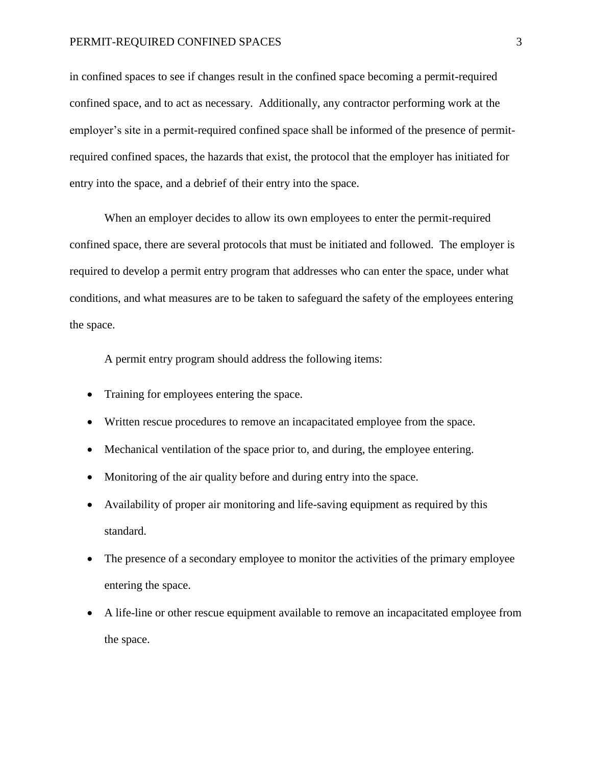## PERMIT-REQUIRED CONFINED SPACES 3

in confined spaces to see if changes result in the confined space becoming a permit-required confined space, and to act as necessary. Additionally, any contractor performing work at the employer's site in a permit-required confined space shall be informed of the presence of permitrequired confined spaces, the hazards that exist, the protocol that the employer has initiated for entry into the space, and a debrief of their entry into the space.

When an employer decides to allow its own employees to enter the permit-required confined space, there are several protocols that must be initiated and followed. The employer is required to develop a permit entry program that addresses who can enter the space, under what conditions, and what measures are to be taken to safeguard the safety of the employees entering the space.

A permit entry program should address the following items:

- Training for employees entering the space.
- Written rescue procedures to remove an incapacitated employee from the space.
- Mechanical ventilation of the space prior to, and during, the employee entering.
- Monitoring of the air quality before and during entry into the space.
- Availability of proper air monitoring and life-saving equipment as required by this standard.
- The presence of a secondary employee to monitor the activities of the primary employee entering the space.
- A life-line or other rescue equipment available to remove an incapacitated employee from the space.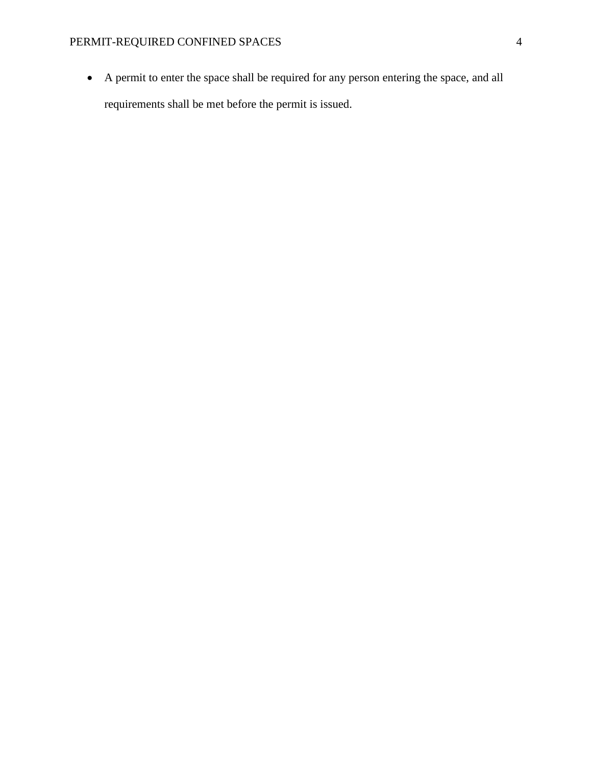• A permit to enter the space shall be required for any person entering the space, and all requirements shall be met before the permit is issued.